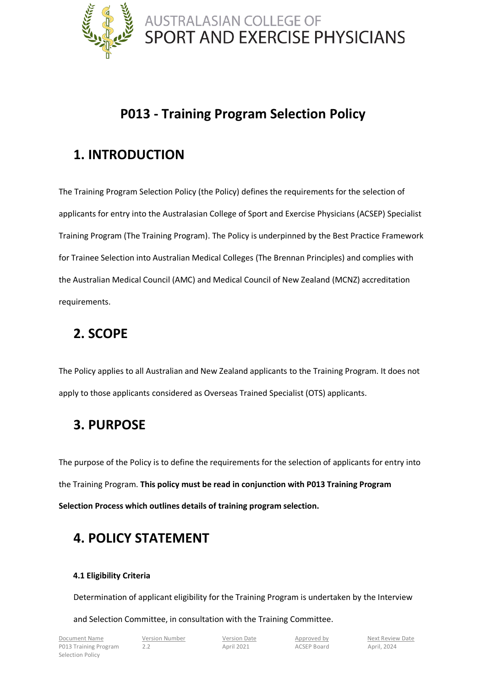

### **P013 - Training Program Selection Policy**

## **1. INTRODUCTION**

The Training Program Selection Policy (the Policy) defines the requirements for the selection of applicants for entry into the Australasian College of Sport and Exercise Physicians (ACSEP) Specialist Training Program (The Training Program). The Policy is underpinned by the Best Practice Framework for Trainee Selection into Australian Medical Colleges (The Brennan Principles) and complies with the Australian Medical Council (AMC) and Medical Council of New Zealand (MCNZ) accreditation requirements.

## **2. SCOPE**

The Policy applies to all Australian and New Zealand applicants to the Training Program. It does not apply to those applicants considered as Overseas Trained Specialist (OTS) applicants.

## **3. PURPOSE**

The purpose of the Policy is to define the requirements for the selection of applicants for entry into the Training Program. **This policy must be read in conjunction with P013 Training Program Selection Process which outlines details of training program selection.**

## **4. POLICY STATEMENT**

### **4.1 Eligibility Criteria**

Determination of applicant eligibility for the Training Program is undertaken by the Interview

#### and Selection Committee, in consultation with the Training Committee.

Document Name Version Number Version Date Approved by Next Review Date P013 Training Program 2.2 2. April 2021 ACSEP Board April, 2024 Selection Policy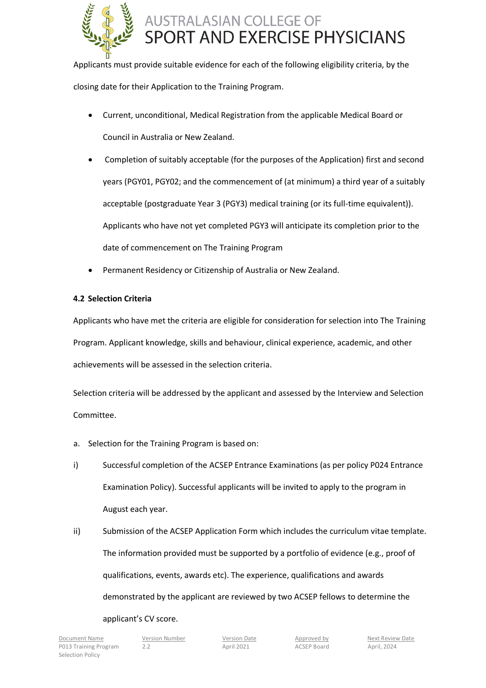

Applicants must provide suitable evidence for each of the following eligibility criteria, by the closing date for their Application to the Training Program.

- Current, unconditional, Medical Registration from the applicable Medical Board or Council in Australia or New Zealand.
- Completion of suitably acceptable (for the purposes of the Application) first and second years (PGY01, PGY02; and the commencement of (at minimum) a third year of a suitably acceptable (postgraduate Year 3 (PGY3) medical training (or its full-time equivalent)). Applicants who have not yet completed PGY3 will anticipate its completion prior to the date of commencement on The Training Program
- Permanent Residency or Citizenship of Australia or New Zealand.

### **4.2 Selection Criteria**

Applicants who have met the criteria are eligible for consideration for selection into The Training Program. Applicant knowledge, skills and behaviour, clinical experience, academic, and other achievements will be assessed in the selection criteria.

Selection criteria will be addressed by the applicant and assessed by the Interview and Selection Committee.

- a. Selection for the Training Program is based on:
- i) Successful completion of the ACSEP Entrance Examinations (as per policy P024 Entrance Examination Policy). Successful applicants will be invited to apply to the program in August each year.
- ii) Submission of the ACSEP Application Form which includes the curriculum vitae template. The information provided must be supported by a portfolio of evidence (e.g., proof of qualifications, events, awards etc). The experience, qualifications and awards demonstrated by the applicant are reviewed by two ACSEP fellows to determine the

applicant's CV score.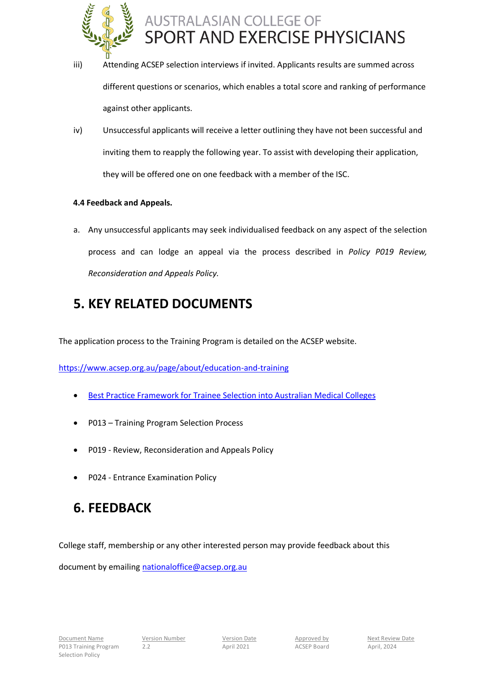

- iii) Attending ACSEP selection interviews if invited. Applicants results are summed across different questions or scenarios, which enables a total score and ranking of performance against other applicants.
- iv) Unsuccessful applicants will receive a letter outlining they have not been successful and inviting them to reapply the following year. To assist with developing their application, they will be offered one on one feedback with a member of the ISC.

### **4.4 Feedback and Appeals.**

a. Any unsuccessful applicants may seek individualised feedback on any aspect of the selection process and can lodge an appeal via the process described in *Policy P019 Review, Reconsideration and Appeals Policy.*

### **5. KEY RELATED DOCUMENTS**

The application process to the Training Program is detailed on the ACSEP website.

<https://www.acsep.org.au/page/about/education-and-training>

- [Best Practice Framework for Trainee Selection into Australian Medical Colleges](https://umbraco.surgeons.org/media/1202/rpt_brennan_report_1998.pdf)
- P013 Training Program Selection Process
- P019 Review, Reconsideration and Appeals Policy
- P024 Entrance Examination Policy

### **6. FEEDBACK**

College staff, membership or any other interested person may provide feedback about this

document by emailing [nationaloffice@acsep.org.au](mailto:nationaloffice@acsep.org.au)